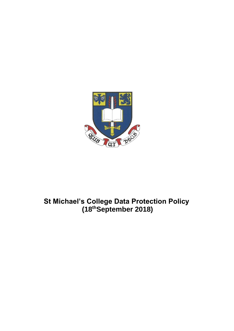

# **St Michael's College Data Protection Policy (18thSeptember 2018)**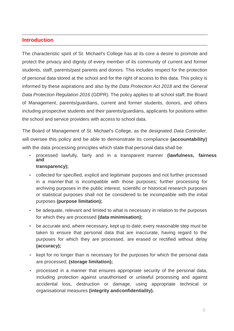# **Introduction**

The characteristic spirit of St. Michael's College has at its core a desire to promote and protect the privacy and dignity of every member of its community of current and former students, staff, parents/past parents and donors. This includes respect for the protection of personal data stored at the school and for the right of access to this data. This policy is informed by these aspirations and also by the *Data Protection Act 2018* and the *General Data Protection Regulation 2016* (GDPR). The policy applies to all school staff, the Board of Management, parents/guardians, current and former students, donors, and others including prospective students and their parents/guardians, applicants for positions within the school and service providers with access to school data.

The Board of Management of St. Michael's College, as the designated *Data Controller,*  will oversee this policy and be able to demonstrate its compliance **(accountability)**  with the data processing principles which state that personal data shall be:

- processed lawfully, fairly and in a transparent manner **(lawfulness, fairness and transparency);**
- collected for specified, explicit and legitimate purposes and not further processed in a manner that is incompatible with those purposes; further processing for archiving purposes in the public interest, scientific or historical research purposes or statistical purposes shall not be considered to be incompatible with the initial purposes **(purpose limitation);**
- be adequate, relevant and limited to what is necessary in relation to the purposes for which they are processed **(data minimisation);**
- be accurate and, where necessary, kept up to date; every reasonable step must be taken to ensure that personal data that are inaccurate, having regard to the purposes for which they are processed, are erased or rectified without delay **(accuracy);**
- kept for no longer than is necessary for the purposes for which the personal data are processed; **(storage limitation);**
- processed in a manner that ensures appropriate security of the personal data, including protection against unauthorised or unlawful processing and against accidental loss, destruction or damage, using appropriate technical or organisational measures **(integrity andconfidentiality).**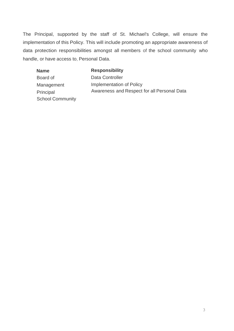The Principal, supported by the staff of St. Michael's College, will ensure the implementation of this Policy. This will include promoting an appropriate awareness of data protection responsibilities amongst all members of the school community who handle, or have access to, Personal Data.

| <b>Name</b>             | <b>Responsibility</b>                                                   |
|-------------------------|-------------------------------------------------------------------------|
| Board of                | Data Controller                                                         |
| Management              | Implementation of Policy<br>Awareness and Respect for all Personal Data |
| Principal               |                                                                         |
| <b>School Community</b> |                                                                         |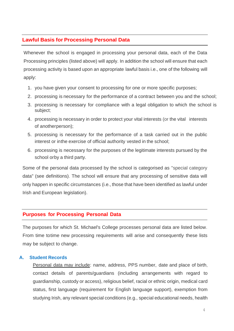# **Lawful Basis for Processing Personal Data**

Whenever the school is engaged in processing your personal data, each of the Data Processing principles (listed above) will apply. In addition the school will ensure that each processing activity is based upon an appropriate lawful basis i.e., one of the following will apply:

- 1. you have given your consent to processing for one or more specific purposes;
- 2. processing is necessary for the performance of a contract between you and the school;
- 3. processing is necessary for compliance with a legal obligation to which the school is subject;
- 4. processing is necessary in order to protect your vital interests (or the vital interests of anotherperson);
- 5. processing is necessary for the performance of a task carried out in the public interest or inthe exercise of official authority vested in the school;
- 6. processing is necessary for the purposes of the legitimate interests pursued by the school orby a third party.

Some of the personal data processed by the school is categorised as "special category data" (see definitions). The school will ensure that any processing of sensitive data will only happen in specific circumstances (i.e., those that have been identified as lawful under Irish and European legislation).

#### **Purposes for Processing Personal Data**

The purposes for which St. Michael's College processes personal data are listed below. From time totime new processing requirements will arise and consequently these lists may be subject to change.

#### **A. Student Records**

Personal data may include: name, address, PPS number, date and place of birth, contact details of parents/guardians (including arrangements with regard to guardianship, custody or access), religious belief, racial or ethnic origin, medical card status, first language (requirement for English language support), exemption from studying Irish, any relevant special conditions (e.g., special educational needs, health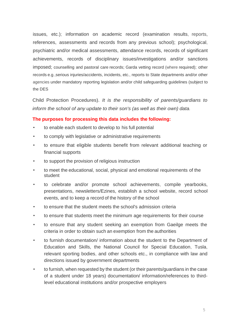issues, etc.); information on academic record (examination results, reports, references, assessments and records from any previous school); psychological, psychiatric and/or medical assessments, attendance records, records of significant achievements, records of disciplinary issues/investigations and/or sanctions imposed; counselling and pastoral care records; Garda vetting record (where required); other records e.g.,serious injuries/accidents, incidents, etc., reports to State departments and/or other agencies under mandatory reporting legislation and/or child safeguarding guidelines (subject to the DES

Child Protection Procedures). *It is the responsibility of parents/guardians to inform the school of any update to their son's (as well as their own) data.*

- to enable each student to develop to his full potential
- to comply with legislative or administrative requirements
- to ensure that eligible students benefit from relevant additional teaching or financial supports
- to support the provision of religious instruction
- to meet the educational, social, physical and emotional requirements of the student
- to celebrate and/or promote school achievements, compile yearbooks, presentations, newsletters/Ezines, establish a school website, record school events, and to keep a record of the history of the school
- to ensure that the student meets the school's admission criteria
- to ensure that students meet the minimum age requirements for their course
- to ensure that any student seeking an exemption from Gaeilge meets the criteria in order to obtain such an exemption from the authorities
- to furnish documentation/ information about the student to the Department of Education and Skills, the National Council for Special Education, Tusla, relevant sporting bodies, and other schools etc., in compliance with law and directions issued by government departments
- to furnish, when requested by the student (or their parents/guardians in the case of a student under 18 years) documentation/ information/references to thirdlevel educational institutions and/or prospective employers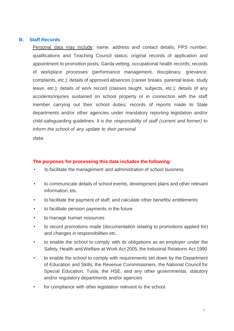#### **B. Staff Records**

Personal data may include: name, address and contact details, PPS number; qualifications and Teaching Council status; original records of application and appointment to promotion posts; Garda vetting; occupational health records; records of workplace processes (performance management, disciplinary, grievance, complaints, etc.); details of approved absences (career breaks, parental leave, study leave, etc.); details of work record (classes taught, subjects, etc.); details of any accidents/injuries sustained on school property or in connection with the staff member carrying out their school duties; records of reports made to State departments and/or other agencies under mandatory reporting legislation and/or child-safeguarding guidelines. *It is the responsibility of staff (current and former) to inform the school of any update to their personal*

*data.*

- to facilitate the management and administration of school business
- to communicate details of school events, development plans and other relevant information, etc.
- to facilitate the payment of staff, and calculate other benefits/ entitlements
- to facilitate pension payments in the future
- to manage human resources
- to record promotions made (documentation relating to promotions applied for) and changes in responsibilities etc.
- to enable the school to comply with its obligations as an employer under the Safety, Health and Welfare at Work Act 2005, the Industrial Relations Act 1990
- to enable the school to comply with requirements set down by the Department of Education and Skills, the Revenue Commissioners, the National Council for Special Education, Tusla, the HSE, and any other governmental, statutory and/or regulatory departments and/or agencies
- for compliance with other legislation relevant to the school.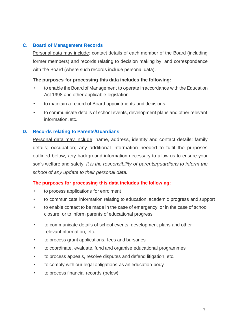# **C. Board of Management Records**

Personal data may include: contact details of each member of the Board (including former members) and records relating to decision making by, and correspondence with the Board (where such records include personal data).

## **The purposes for processing this data includes the following:**

- to enable the Board of Management to operate in accordance with the Education Act 1998 and other applicable legislation
- to maintain a record of Board appointments and decisions.
- to communicate details of school events, development plans and other relevant information, etc.

## **D. Records relating to Parents/Guardians**

Personal data may include: name, address, identity and contact details; family details; occupation; any additional information needed to fulfil the purposes outlined below; any background information necessary to allow us to ensure your son's welfare and safety. *It is the responsibility of parents/guardians to inform the school of any update to their personal data.*

- to process applications for enrolment
- to communicate information relating to education, academic progress and support
- to enable contact to be made in the case of emergency or in the case of school closure, or to inform parents of educational progress
- to communicate details of school events, development plans and other relevantinformation, etc.
- to process grant applications, fees and bursaries
- to coordinate, evaluate, fund and organise educational programmes
- to process appeals, resolve disputes and defend litigation, etc.
- to comply with our legal obligations as an education body
- to process financial records (below)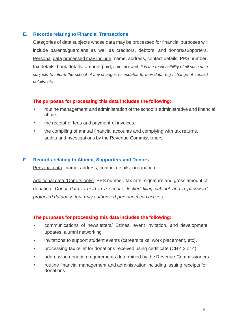## **E. Records relating to Financial Transactions**

Categories of data subjects whose data may be processed for financial purposes will include parents/guardians as well as creditors, debtors, and donors/supporters. Personal data processed may include: name, address, contact details, PPS number, tax details, bank details, amount paid, amount owed. *It is the responsibility of all such data subjects to inform the school of any changes or updates to their data, e.g., change of contact details, etc.*

## **The purposes for processing this data includes the following:**

- routine management and administration of the school's administrative and financial affairs,
- the receipt of fees and payment of invoices,
- the compiling of annual financial accounts and complying with tax returns, audits andinvestigations by the Revenue Commissioners.

## **F. Records relating to Alumni, Supporters and Donors**

Personal data: name, address, contact details, occupation

Additional data (Donors only): PPS number, tax rate, signature and gross amount of donation. *Donor data is held in a secure, locked filing cabinet and a password protected database that only authorised personnel can access.*

- communications of newsletters/ Ezines, event invitation, and development updates, alumni networking
- invitations to support student events (careers talks, work placement, etc).
- processing tax relief for donations received using certificate (CHY 3 or 4)
- addressing donation requirements determined by the Revenue Commissioners
- routine financial management and administration including issuing receipts for donations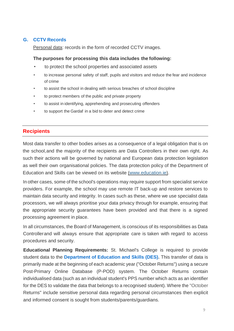# **G. CCTV Records**

Personal data: records in the form of recorded CCTV images.

# **The purposes for processing this data includes the following:**

- to protect the school properties and associated assets
- to increase personal safety of staff, pupils and visitors and reduce the fear and incidence of crime
- to assist the school in dealing with serious breaches of school discipline
- to protect members of the public and private property
- to assist in identifying, apprehending and prosecuting offenders
- to support the Gardaf in a bid to deter and detect crime

# **Recipients**

Most data transfer to other bodies arises as a consequence of a legal obligation that is on the school,and the majority of the recipients are Data Controllers in their own right. As such their actions will be governed by national and European data protection legislation as well their own organisational policies. The data protection policy of the Department of Education and Skills can be viewed on its website (www.education.ie).

In other cases, some of the school's operations may require support from specialist service providers. For example, the school may use remote IT back-up and restore services to maintain data security and integrity. In cases such as these, where we use specialist data processors, we will always prioritise your data privacy through for example, ensuring that the appropriate security guarantees have been provided and that there is a signed processing agreement in place.

In all circumstances, the Board of Management, is conscious of its responsibilities as Data Controllerand will always ensure that appropriate care is taken with regard to access procedures and security.

**Educational Planning Requirements:** St. Michael's College is required to provide student data to the **Department of Education and Skills (DES).** This transfer of data is primarily made at the beginning of each academic year ("October Returns") using a secure Post-Primary Online Database (P-POD) system. The October Returns contain individualised data (such as an individual student's PPS number which acts as an identifier for the DES to validate the data that belongs to a recognised student). Where the "October Returns" include sensitive personal data regarding personal circumstances then explicit and informed consent is sought from students/parents/guardians.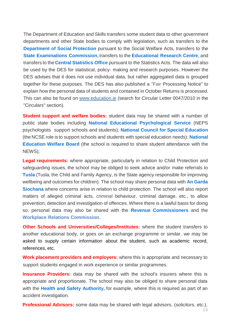The Department of Education and Skills transfers some student data to other government departments and other State bodies to comply with legislation, such as transfers to the **Department of Social Protection** pursuant to the Social Welfare Acts, transfers to the **State Examinations Commission,** transfers to the **Educational Research Centre,** and transfers to the **Central Statistics Office** pursuant to the Statistics Acts. The data will also be used by the DES for statistical, policy- making and research purposes. However the DES advises that it does not use individual data, but rather aggregated data is grouped together for these purposes. The DES has also published a "Fair Processing Notice" to explain how the personal data of students and contained in October Returns is processed. This can also be found on [www.education.ie](http://www.education.ie/) (search for Circular Letter 0047/2010 in the "Circulars" section).

**Student support and welfare bodies:** student data may be shared with a number of public state bodies including **National Educational Psychological Service** (NEPS psychologists support schools and students); **National Council for Special Education** (the NCSE role is to support schools and students with special education needs); **National Education Welfare Board** (the school is required to share student attendance with the NEWS);

**Legal requirements:** where appropriate, particularly in relation to Child Protection and safeguarding issues, the school may be obliged to seek advice and/or make referrals to **Tusla** (Tusla, the Child and Family Agency, is the State agency responsible for improving wellbeing and outcomes for children). The school may share personal data with **An Garda Siochana** where concerns arise in relation to child protection. The school will also report matters of alleged criminal acts, criminal behaviour, criminal damage, etc., to allow prevention, detection and investigation of offences. Where there is a lawful basis for doing so, personal data may also be shared with the **Revenue Commissioners** and the **Workplace Relations Commission.**

**Other Schools and Universities/Colleges/Institutes:** where the student transfers to another educational body, or goes on an exchange programme or similar, we may be asked to supply certain information about the student, such as academic record, references, etc.

**Work placement providers and employers:** where this is appropriate and necessary to support students engaged in work experience or similar programmes.

**Insurance Providers:** data may be shared with the school's insurers where this is appropriate and proportionate. The school may also be obliged to share personal data with the **Health and Safety Authority,** for example, where this is required as part of an accident investigation.

**Professional Advisors:** some data may be shared with legal advisors, (solicitors, etc.),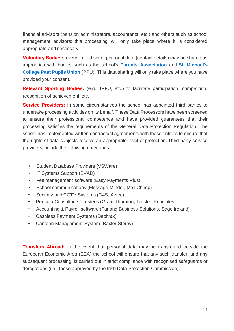financial advisors (pension administrators, accountants, etc.) and others such as school management advisors; this processing will only take place where it is considered appropriate and necessary.

**Voluntary Bodies:** a very limited set of personal data (contact details) may be shared as appropriate with bodies such as the school's **Parents Association** and **St. Michael's College Past Pupils Union** (PPU). This data sharing will only take place where you have provided your consent.

**Relevant Sporting Bodies:** (e.g., IRFU, etc.) to facilitate participation, competition, recognition of achievement, etc.

**Service Providers:** in some circumstances the school has appointed third parties to undertake processing activities on its behalf. These Data Processors have been screened to ensure their professional competence and have provided guarantees that their processing satisfies the requirements of the General Data Protection Regulation. The school has implemented written contractual agreements with these entities to ensure that the rights of data subjects receive an appropriate level of protection. Third party service providers include the following categories:

- Student Database Providers (VSWare)
- IT Systems Support (EVAD)
- Fee management software (Easy Payments Plus)
- School communications (Message Minder, Mail Chimp)
- Security and CCTV Systems (G4S, Aztec)
- Pension Consultants/Trustees (Grant Thornton, Trustee Principles)
- Accounting & Payroll software (Furlong Business Solutions, Sage Ireland)
- Cashless Payment Systems (Debitrak)
- Canteen Management System (Baxter Storey)

**Transfers Abroad:** In the event that personal data may be transferred outside the European Economic Area (EEA) the school will ensure that any such transfer, and any subsequent processing, is carried out in strict compliance with recognised safeguards or derogations (i.e., those approved by the Irish Data Protection Commission).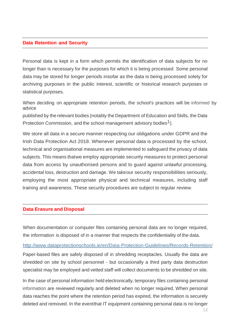#### **Data Retention and Security**

Personal data is kept in a form which permits the identification of data subjects for no longer than is necessary for the purposes for which it is being processed. Some personal data may be stored for longer periods insofar as the data is being processed solely for archiving purposes in the public interest, scientific or historical research purposes or statistical purposes.

When deciding on appropriate retention periods, the school's practices will be informed by advice

published by the relevant bodies (notably the Department of Education and Skills, the Data Protection Commission, and the school management advisory bodies<sup>1</sup>).

We store all data in a secure manner respecting our obligations under GDPR and the Irish Data Protection Act 2018. Whenever personal data is processed by the school, technical and organisational measures are implemented to safeguard the privacy of data subjects. This means thatwe employ appropriate security measures to protect personal data from access by unauthorised persons and to guard against unlawful processing, accidental loss, destruction and damage. We takeour security responsibilities seriously, employing the most appropriate physical and technical measures, including staff training and awareness. These security procedures are subject to regular review.

#### **Data Erasure and Disposal**

When documentation or computer files containing personal data are no longer required, the information is disposed of in a manner that respects the confidentiality of the data.

#### <http://www.dataprotectionschools.ie/en/Data-Protection-Guidelines/Records-Retention/>

Paper-based files are safely disposed of in shredding receptacles. Usually the data are shredded on site by school personnel - but occasionally a third party data destruction specialist may be employed and vetted staff will collect documents to be shredded on site.

In the case of personal information held electronically, temporary files containing personal information are reviewed regularly and deleted when no longer required. When personal data reaches the point where the retention period has expired, the information is securely deleted and removed. In the eventthat IT equipment containing personal data is no longer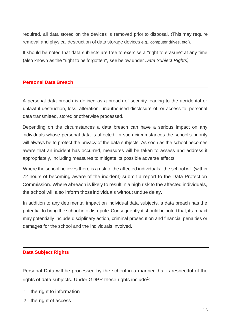required, all data stored on the devices is removed prior to disposal. (This may require removal and physical destruction of data storage devices e.g., computer drives, etc.).

It should be noted that data subjects are free to exercise a "right to erasure" at any time (also known as the "right to be forgotten", see below under *Data Subject Rights).*

#### **Personal Data Breach**

A personal data breach is defined as a breach of security leading to the accidental or unlawful destruction, loss, alteration, unauthorised disclosure of, or access to, personal data transmitted, stored or otherwise processed.

Depending on the circumstances a data breach can have a serious impact on any individuals whose personal data is affected. In such circumstances the school's priority will always be to protect the privacy of the data subjects. As soon as the school becomes aware that an incident has occurred, measures will be taken to assess and address it appropriately, including measures to mitigate its possible adverse effects.

Where the school believes there is a risk to the affected individuals, the school will (within 72 hours of becoming aware of the incident) submit a report to the Data Protection Commission. Where abreach is likely to result in a high risk to the affected individuals, the school will also inform thoseindividuals without undue delay.

In addition to any detrimental impact on individual data subjects, a data breach has the potential to bring the school into disrepute. Consequently it should be noted that, its impact may potentially include disciplinary action, criminal prosecution and financial penalties or damages for the school and the individuals involved.

#### **Data Subject Rights**

Personal Data will be processed by the school in a manner that is respectful of the rights of data subjects. Under GDPR these rights include<sup>2</sup>:

- 1. the right to information
- 2. the right of access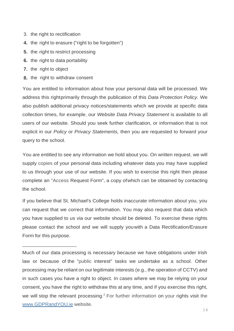- 3. the right to rectification
- **4.** the right to erasure ("right to be forgotten")
- **5.** the right to restrict processing
- **6.** the right to data portability
- **7.** the right to object
- **8.** the right to withdraw consent

You are entitled to information about how your personal data will be processed. We address this rightprimarily through the publication of this *Data Protection Policy.* We also publish additional privacy notices/statements which we provide at specific data collection times, for example, our *Website Data Privacy Statement* is available to all users of our website. Should you seek further clarification, or information that is not explicit in our *Policy* or *Privacy Statements,* then you are requested to forward your query to the school.

You are entitled to see any information we hold about you. On written request, we will supply copies of your personal data including whatever data you may have supplied to us through your use of our website. If you wish to exercise this right then please complete an "Access Request Form", a copy ofwhich can be obtained by contacting the school.

If you believe that St. Michael's College holds inaccurate information about you, you can request that we correct that information. You may also request that data which you have supplied to us via our website should be deleted. To exercise these rights please contact the school and we will supply youwith a Data Rectification/Erasure Form for this purpose.

Much of our data processing is necessary because we have obligations under Irish law or because of the "public interest" tasks we undertake as a school. Other processing may be reliant on our legitimate interests (e.g., the operation of CCTV) and in such cases you have a right to object. In cases where we may be relying on your consent, you have the right to withdraw this at any time, and if you exercise this right, we will stop the relevant processing.<sup>2</sup> For further information on your rights visit the [www.GDPRandYOU.ie](http://www.gdprandyou.ie/) website.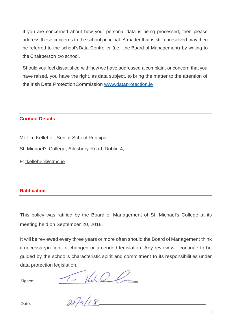If you are concerned about how your personal data is being processed, then please address these concerns to the school principal. A matter that is still unresolved may then be referred to the school'sData Controller (i.e., the Board of Management) by writing to the Chairperson c/o school.

Should you feel dissatisfied with how we have addressed a complaint or concern that you have raised, you have the right, as data subject, to bring the matter to the attention of the Irish Data ProtectionCommission [www.dataprotection.ie](http://www.dataprotection.ie/)

# **Contact Details**

- Mr Tim Kelleher, Senior School Principal
- St. Michael's College, Ailesbury Road, Dublin 4,
- E: [tkelleher@stmc.ie](mailto:tkelleher@stmc.ie)

# **Ratification**

This policy was ratified by the Board of Management of St. Michael's College at its meeting held on September 20, 2018.

It will be reviewed every three years or more often should the Board of Management think it necessaryin light of changed or amended legislation. Any review will continue to be guided by the school's characteristic spirit and commitment to its responsibilities under data protection legislation.

Signed:

 $\frac{1-\mu_{12}}{209118}$ 

Date: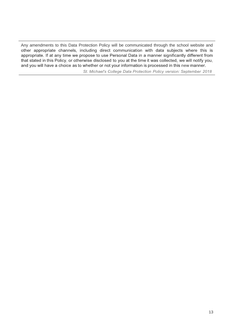Any amendments to this Data Protection Policy will be communicated through the school website and other appropriate channels, including direct communication with data subjects where this is appropriate. If at any time we propose to use Personal Data in a manner significantly different from that stated in this Policy, or otherwise disclosed to you at the time it was collected, we will notify you, and you will have a choice as to whether or not your information is processed in this new manner.

St. Michael's College Data Protection Policy version: September 2018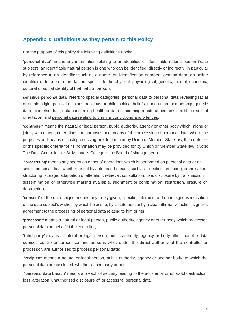# **Appendix I: Definitions as they pertain to this Policy**

For the purpose of this policy the following definitions apply:

**'personal data'** means any information relating to an identified or identifiable natural person ('data subject'); an identifiable natural person is one who can be identified, directly or indirectly, in particular by reference to an identifier such as a name, an identification number, location data, an online identifier or to one or more factors specific to the physical, physiological, genetic, mental, economic, cultural or social identity of that natural person;

**sensitive personal data** refers to special categories personal data to personal data revealing racial or ethnic origin, political opinions, religious or philosophical beliefs, trade union membership, genetic data, biometric data, data concerning health or data concerning a natural person's sex life or sexual orientation; and personal data relating to criminal convictions and offences.

**'controller'** means the natural or legal person, public authority, agency or other body which, alone or jointly with others, determines the purposes and means of the processing of personal data; where the purposes and means of such processing are determined by Union or Member State law, the controller or the specific criteria for its nomination may be provided for by Union or Member State law; (Note: The Data Controller for St. Michael's College is the Board of Management).

**'processing'** means any operation or set of operations which is performed on personal data or on sets of personal data, whether or not by automated means, such as collection, recording, organisation, structuring, storage, adaptation or alteration, retrieval, consultation, use, disclosure by transmission, dissemination or otherwise making available, alignment or combination, restriction, erasure or destruction;

**'consent'** of the data subject means any freely given, specific, informed and unambiguous indication of the data subject's wishes by which he or she, by a statement or by a clear affirmative action, signifies agreement to the processing of personal data relating to him or her;

**'processor'** means a natural or legal person, public authority, agency or other body which processes personal data on behalf of the controller;

**'third party'** means a natural or legal person, public authority, agency or body other than the data subject, controller, processor and persons who, under the direct authority of the controller or processor, are authorised to process personal data;

**'recipient'** means a natural or legal person, public authority, agency or another body, to which the personal data are disclosed, whether a third party or not.

**'personal data breach'** means a breach of security leading to the accidental or unlawful destruction, loss, alteration, unauthorised disclosure of, or access to, personal data